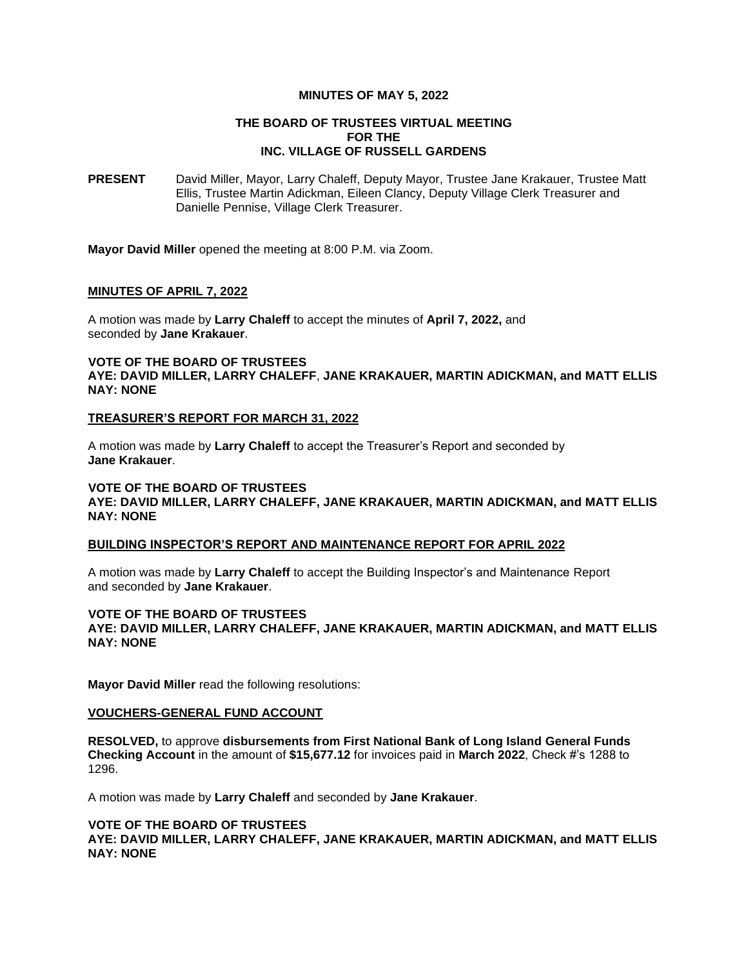#### **MINUTES OF MAY 5, 2022**

## **THE BOARD OF TRUSTEES VIRTUAL MEETING FOR THE INC. VILLAGE OF RUSSELL GARDENS**

**PRESENT** David Miller, Mayor, Larry Chaleff, Deputy Mayor, Trustee Jane Krakauer, Trustee Matt Ellis, Trustee Martin Adickman, Eileen Clancy, Deputy Village Clerk Treasurer and Danielle Pennise, Village Clerk Treasurer.

Mayor **Mayor David Miller** opened the meeting at 8:00 P.M. via Zoom.

## **MINUTES OF APRIL 7, 2022**

A motion was made by **Larry Chaleff** to accept the minutes of **April 7, 2022,** and seconded by **Jane Krakauer**.

## **VOTE OF THE BOARD OF TRUSTEES AYE: DAVID MILLER, LARRY CHALEFF**, **JANE KRAKAUER, MARTIN ADICKMAN, and MATT ELLIS NAY: NONE**

#### **TREASURER'S REPORT FOR MARCH 31, 2022**

A motion was made by **Larry Chaleff** to accept the Treasurer's Report and seconded by **Jane Krakauer**.

## **VOTE OF THE BOARD OF TRUSTEES AYE: DAVID MILLER, LARRY CHALEFF, JANE KRAKAUER, MARTIN ADICKMAN, and MATT ELLIS NAY: NONE**

## **BUILDING INSPECTOR'S REPORT AND MAINTENANCE REPORT FOR APRIL 2022**

A motion was made by **Larry Chaleff** to accept the Building Inspector's and Maintenance Report and seconded by **Jane Krakauer**.

# **VOTE OF THE BOARD OF TRUSTEES**

**AYE: DAVID MILLER, LARRY CHALEFF, JANE KRAKAUER, MARTIN ADICKMAN, and MATT ELLIS NAY: NONE**

**Mayor David Miller** read the following resolutions:

#### **VOUCHERS-GENERAL FUND ACCOUNT**

**RESOLVED,** to approve **disbursements from First National Bank of Long Island General Funds Checking Account** in the amount of **\$15,677.12** for invoices paid in **March 2022**, Check #'s 1288 to 1296.

A motion was made by **Larry Chaleff** and seconded by **Jane Krakauer**.

#### **VOTE OF THE BOARD OF TRUSTEES**

**AYE: DAVID MILLER, LARRY CHALEFF, JANE KRAKAUER, MARTIN ADICKMAN, and MATT ELLIS NAY: NONE**